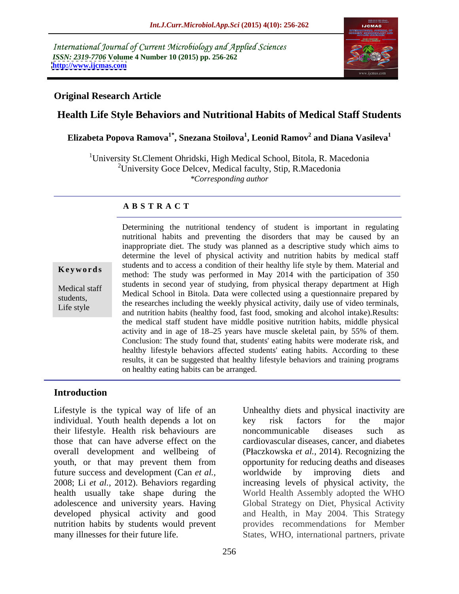International Journal of Current Microbiology and Applied Sciences *ISSN: 2319-7706* **Volume 4 Number 10 (2015) pp. 256-262 <http://www.ijcmas.com>**



#### **Original Research Article**

# **Health Life Style Behaviors and Nutritional Habits of Medical Staff Students**

#### **Elizabeta Popova Ramova1\* , Snezana Stoilova<sup>1</sup> , Leonid Ramov<sup>2</sup> and Diana Vasileva1**

<sup>1</sup>University St.Clement Ohridski, High Medical School, Bitola, R. Macedonia <sup>2</sup>University Goce Delcev, Medical faculty, Stip, R.Macedonia *\*Corresponding author*

#### **A B S T R A C T**

Life style

Determining the nutritional tendency of student is important in regulating nutritional habits and preventing the disorders that may be caused by an inappropriate diet. The study was planned as a descriptive study which aims to determine the level of physical activity and nutrition habits by medical staff students and to access a condition of their healthy life styleby them. Material and **Keywords** students and to access a condition of their heatily life style by them. Material and method: The study was performed in May 2014 with the participation of 350 students in second year of studying, from physical therapy department at High Medical staff Medical School in Bitola. Data were collected using a questionnaire prepared by the researches including the weekly physical activity, daily use of video terminals,<br>I if a students, the researches including the weekly physical activity, daily use of video terminals, and nutrition habits (healthy food, fast food, smoking and alcohol intake).Results: the medical staff student have middle positive nutrition habits, middle physical activity and in age of 18 25 years have muscle skeletal pain, by 55% of them. Conclusion: The study found that, students' eating habits were moderate risk, and healthy lifestyle behaviors affected students' eating habits. According to these results, it can be suggested that healthy lifestyle behaviors and training programs on healthy eating habits can be arranged.

#### **Introduction**

Lifestyle is the typical way of life of an Unhealthy diets and physical inactivity are individual. Youth health depends a lot on level wisk factors for the major their lifestyle. Health risk behaviours are those that can have adverse effect on the cardiovascular diseases, cancer, and diabetes overall development and wellbeing of (Płaczkowska *et al.*, 2014). Recognizing the youth, or that may prevent them from opportunity for reducing deaths and diseases future success and development (Can *et al.*, worldwide by improving diets and 2008; Li *et al.,* 2012). Behaviors regarding increasing levels of physical activity, the health usually take shape during the adolescence and university years. Having Global Strategy on Diet, Physical Activity developed physical activity and good and Health, in May 2004. This Strategy nutrition habits by students would prevent provides recommendations for Member

many illnesses for their future life. States, WHO, international partners, private key risk factors for the major noncommunicable diseases such as worldwide by improving diets and World Health Assembly adopted the WHO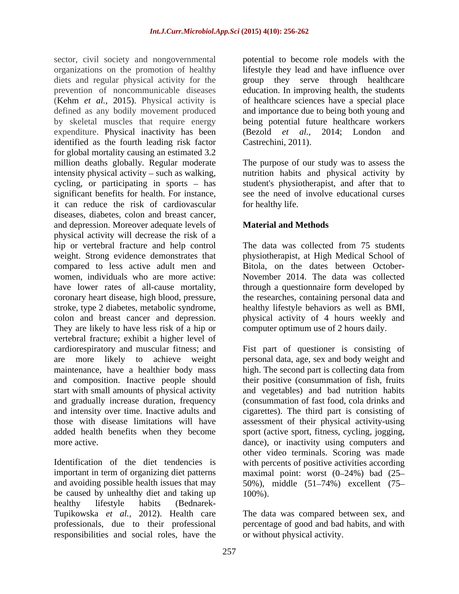sector, civil society and nongovernmental potential to become role models with the organizations on the promotion of healthy lifestyle they lead and have influence over diets and regular physical activity for the prevention of noncommunicable diseases education. In improving health, the students (Kehm *et al.,* 2015). Physical activity is of healthcare sciences have a special place defined as any bodily movement produced and importance due to being both young and by skeletal muscles that require energy expenditure. Physical inactivity has been identified as the fourth leading risk factor for global mortality causing an estimated 3.2 million deaths globally. Regular moderate The purpose of our study was to assess the intensity physical activity – such as walking, and intertion habits and physical activity by cycling, or participating in sports – has student's physiotherapist, and after that to significant benefits for health. For instance, it can reduce the risk of cardiovascular diseases, diabetes, colon and breast cancer, and depression. Moreover adequate levels of **Material and Methods** physical activity will decrease the risk of a hip or vertebral fracture and help control The data was collected from 75 students weight. Strong evidence demonstrates that physiotherapist, at High Medical School of compared to less active adult men and Bitola, on the dates between October women, individuals who are more active: November 2014. The data was collected have lower rates of all-cause mortality, through a questionnaire form developed by coronary heart disease, high blood, pressure, the researches, containing personal data and stroke, type 2 diabetes, metabolic syndrome, colon and breast cancer and depression. physical activity of 4 hours weekly and They are likely to have less risk of a hip or computer optimum use of 2 hours daily. vertebral fracture; exhibit a higher level of cardiorespiratory and muscular fitness; and Fist part of questioner is consisting of are more likely to achieve weight personal data, age, sex and body weight and maintenance, have a healthier body mass high. The second part is collecting data from and composition. Inactive people should their positive (consummation of fish, fruits start with small amounts of physical activity and gradually increase duration, frequency and intensity over time. Inactive adults and cigarettes). The third part is consisting of those with disease limitations will have assessment of their physical activity-using added health benefits when they become sport (active sport, fitness, cycling, jogging,

Identification of the diet tendencies is with percents of positive activities according important in term of organizing diet patterns maximal point: worst (0-24%) bad (25and avoiding possible health issues that may  $50\%$ ), middle  $(51-74\%)$  excellent  $(75$ be caused by unhealthy diet and taking up  $100\%$ ). healthy lifestyle habits (Bednarek- Tupikowska *et al.,* 2012). Health care The data was compared between sex, and professionals, due to their professional percentage of good and bad habits, and with responsibilities and social roles, have the

group they serve through healthcare being potential future healthcare workers (Bezold *et al.,* 2014; London and Castrechini, 2011).

see the need of involve educational curses for healthy life.

## **Material and Methods**

The data was collected from 75 students healthy lifestyle behaviors as well as BMI, computer optimum use of 2 hours daily.

more active. dance), or inactivity using computers and and vegetables) and bad nutrition habits (consummation of fast food, cola drinks and other video terminals. Scoring was made 100%).

or without physical activity.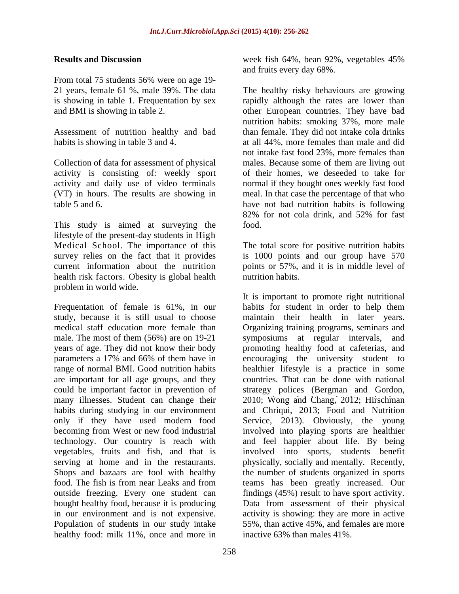From total 75 students 56% were on age 19-

activity is consisting of: weekly sport

This study is aimed at surveying the food. lifestyle of the present-day students in High Medical School. The importance of this survey relies on the fact that it provides is 1000 points and our group have 570 current information about the nutrition points or 57%, and it is in middle level of health risk factors. Obesity is global health mutrition habits. problem in world wide.

years of age. They did not know their body are important for all age groups, and they vegetables, fruits and fish, and that is outside freezing. Every one student can Population of students in our study intake healthy food: milk 11%, once and more in inactive 63% than males 41%.

258

**Results** and Discussion **and Results** and Discussion **and**  $\alpha$  **Discussion Results** and  $\alpha$  **Discussion Results ASS** week fish 64%, bean 92%, vegetables 45% and fruits every day 68%.

21 years, female 61 %, male 39%. The data The healthy risky behaviours are growing is showing in table 1. Frequentation by sex rapidly although the rates are lower than and BMI is showing in table 2. other European countries. They have bad Assessment of nutrition healthy and bad than female. They did not intake cola drinks habits is showing in table 3 and 4.  $\qquad \qquad$  at all 44%, more females than male and did Collection of data for assessment of physical males. Because some of them are living out activity and daily use of video terminals normal if they bought ones weekly fast food (VT) in hours. The results are showing in meal. In that case the percentage of that who table 5 and 6. have not bad nutrition habits is following nutrition habits: smoking 37%, more male not intake fast food 23%, more females than of their homes, we deseeded to take for 82% for not cola drink, and 52% for fast food.

> The total score for positive nutrition habits nutrition habits.

Frequentation of female is 61%, in our habits for student in order to help them study, because it is still usual to choose maintain their health in later years. medical staff education more female than Organizing training programs, seminars and male. The most of them (56%) are on 19-21 symposiums at regular intervals, and parameters a 17% and 66% of them have in encouraging the university student to range of normal BMI. Good nutrition habits healthier lifestyle is a practice in some could be important factor in prevention of strategy polices (Bergman and Gordon, many illnesses. Student can change their 2010; Wong and Chang, 2012; Hirschman habits during studying in our environment and Chriqui, 2013; Food and Nutrition only if they have used modern food Service, 2013). Obviously, the young becoming from West or new food industrial involved into playing sports are healthier technology. Our country is reach with and feel happier about life. By being serving at home and in the restaurants. physically, socially and mentally. Recently, Shops and bazaars are fool with healthy the number of students organized in sports food. The fish is from near Leaks and from teams has been greatly increased. Our bought healthy food, because it is producing Data from assessment of their physical in our environment and is not expensive. activity is showing: they are more in active It is important to promote right nutritional promoting healthy food at cafeterias, and countries. That can be done with national involved into sports, students benefit findings (45%) result to have sport activity. 55%, than active 45%, and females are more inactive 63% than males 41%.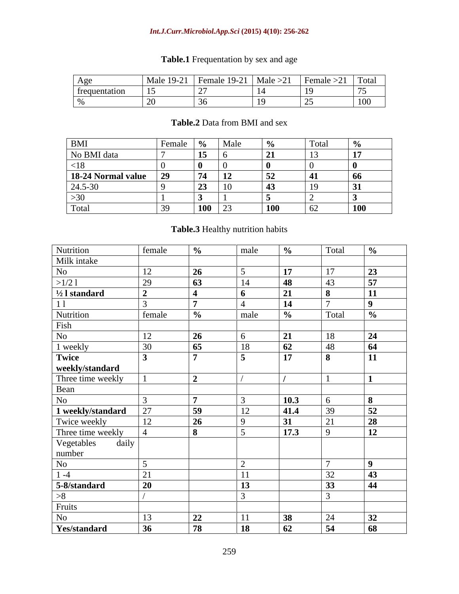#### *Int.J.Curr.Microbiol.App.Sci* **(2015) 4(10): 256-262**

| Age           |             | Female $19-21$   Male $>21$ | Female $>21$ | Total                     |
|---------------|-------------|-----------------------------|--------------|---------------------------|
| trequentation | $\sim$<br>. |                             |              | .                         |
|               |             |                             |              | $\sim$ $\sim$ $\sim$<br>. |

# **Table.1** Frequentation by sex and age

## **Table.2** Data from BMI and sex

| RMI                |          |                              |      |            |              |
|--------------------|----------|------------------------------|------|------------|--------------|
| No BMI data        |          | $\overline{15}$              |      |            |              |
|                    |          |                              |      |            |              |
| 18-24 Normal value |          |                              |      |            |              |
| 24.5-30            |          | $\mathcal{L}$ . $\mathbf{V}$ | .    |            |              |
|                    |          |                              |      |            |              |
| otal               | $\cdots$ | $100$ 23                     | 1 UU | $\sim$ $-$ | $\sqrt{100}$ |

# **Table.3** Healthy nutrition habits

| Nutrition                | female          |                 | $\frac{male}{m}$ | $\frac{9}{6}$     | Total       | $\frac{9}{6}$                     |
|--------------------------|-----------------|-----------------|------------------|-------------------|-------------|-----------------------------------|
| Milk intake              |                 |                 |                  |                   |             |                                   |
| No                       | $1^{\circ}$     |                 |                  | 17                | 17          | $\overline{2}$                    |
| >1/21                    | ററ              | $\overline{63}$ |                  | $\overline{AQ}$   | $\Delta$ 3  | $E_{\overline{z}}$                |
| $\frac{1}{2}$ l standard |                 |                 |                  | 21                |             | 11                                |
|                          |                 |                 |                  | $\blacksquare$    |             |                                   |
| Nutrition                | female          |                 | male             | $\overline{0}$    | Total       |                                   |
| Fish                     |                 |                 |                  |                   |             |                                   |
| No                       | $\sqrt{10}$     |                 |                  |                   |             |                                   |
| 1 weekly                 |                 |                 |                  | $\sqrt{2}$        |             |                                   |
|                          |                 |                 |                  | 17                |             | 11<br>$\blacksquare$              |
| Twice<br>weekly/standard |                 |                 |                  |                   |             |                                   |
| Three time weekly        |                 |                 |                  |                   |             |                                   |
| Bean                     |                 |                 |                  |                   |             |                                   |
| No                       |                 |                 |                  | $\vert$ 10.3      |             |                                   |
| 1 weekly/standard        | $\cap$          |                 | $1^{\circ}$      | $\vert$ 41.4      | $\Omega$    | $\overline{52}$                   |
| Twice weekly             | $1^{\circ}$     |                 |                  | $\sqrt{21}$       | $\bigcap$ 1 | $\overline{\mathbf{P}}$           |
| Three time weekly        |                 |                 |                  | $\boxed{17.3}$    |             | $\vert$ 12                        |
| daily                    |                 |                 |                  |                   |             |                                   |
| Vegetables<br>number     |                 |                 |                  |                   |             |                                   |
| No                       |                 |                 |                  |                   |             |                                   |
| $1 - 4$                  |                 |                 |                  |                   |             |                                   |
| 5-8/standard             |                 |                 |                  |                   | 22          |                                   |
|                          |                 |                 |                  |                   |             |                                   |
| Fruits                   |                 |                 |                  |                   |             |                                   |
| <b>No</b>                | 1 <sub>2</sub>  | $\mathbf{A}$    |                  | $\Delta$ $\Omega$ | 24          | $\overline{22}$<br>J <sub>4</sub> |
| <b>Yes/standard</b>      | $\overline{36}$ | 78              | <b>18</b>        | 62                | 54          | $\overline{68}$                   |
|                          |                 |                 |                  |                   |             |                                   |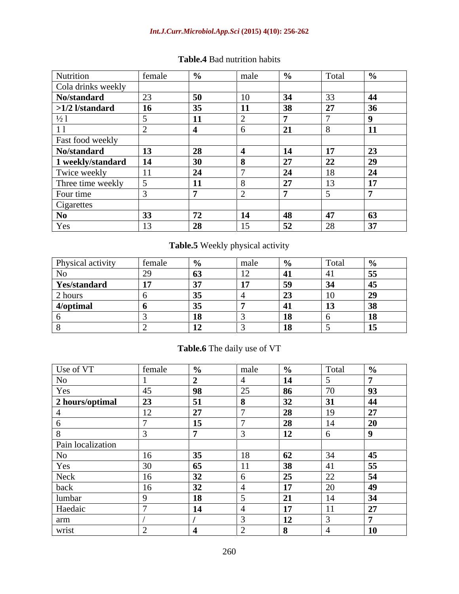#### *Int.J.Curr.Microbiol.App.Sci* **(2015) 4(10): 256-262**

| Nutrition                         | female | male | Total |  |
|-----------------------------------|--------|------|-------|--|
| Cola drinks weekly<br>No/standard |        |      |       |  |
|                                   |        |      |       |  |
| $>1/2$ l/standard                 |        |      |       |  |
|                                   |        |      |       |  |
|                                   |        |      |       |  |
| Fast food weekly                  |        |      |       |  |
| No/standard                       |        |      |       |  |
| 1 weekly/standard                 |        |      |       |  |
| Twice weekly                      |        |      |       |  |
| Three time weekly                 |        |      |       |  |
| Four time                         |        |      |       |  |
| Cigarettes                        |        |      |       |  |
| No.                               |        |      |       |  |
|                                   |        |      |       |  |

# **Table.4** Bad nutrition habits

# **Table.5** Weekly physical activity

| <b>Physical activity</b> |  |  |  |
|--------------------------|--|--|--|
|                          |  |  |  |
| <b>Yes/standard</b>      |  |  |  |
| nours -                  |  |  |  |
| $4$ /optimal             |  |  |  |
|                          |  |  |  |
|                          |  |  |  |

# **Table.6** The daily use of VT

| Use of VT         | female |      | male |                |            |
|-------------------|--------|------|------|----------------|------------|
|                   |        |      |      | $\blacksquare$ |            |
|                   |        |      |      |                |            |
| 2 hours/optimal   |        |      |      |                |            |
|                   |        |      |      |                |            |
|                   |        |      |      |                |            |
|                   |        |      |      | 12             |            |
| Pain localization |        |      |      |                |            |
|                   |        |      |      |                |            |
|                   |        |      |      |                |            |
| Neck              |        |      |      |                |            |
| <b>DACK</b>       |        |      |      |                |            |
|                   |        | או ו |      |                |            |
| lumbar<br>Haedaic |        |      |      | - -            | $\sim$ $-$ |
|                   |        |      |      | $\triangle$    |            |
| wrist             |        |      |      |                | $\sim$     |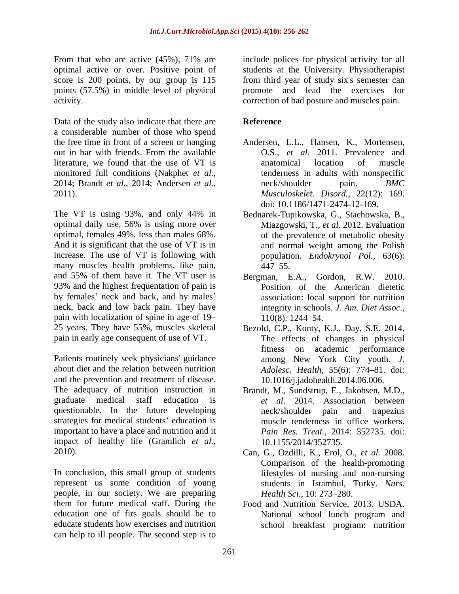score is 200 points, by our group is 115

activity.<br>
Data of the study also indicate that there are **Reference**<br> **Reference** a considerable number of those who spend the free time in front of a screen or hanging Andersen, L.L., Hansen, K., Mortensen, out in bar with friends. From the available **O.S.**, *et al.* 2011. Prevalence and literature, we found that the use of VT is monitored full conditions (Nakphet *et al.,* 2014; Brandt *et al.,* 2014; Andersen *et al.,* 2011). *Musculoskelet. Disord.,* 22(12): 169.

The VT is using 93%, and only 44% in Bednarek-Tupikowska, G., Stachowska, B., optimal daily use, 56% is using more over Miazgowski, T., et al. 2012. Evaluation And it is significant that the use of VT is in many muscles health problems, like pain,  $\frac{447-55}{6}$ and 55% of them have it. The VT user is Bergman, E.A., 93% and the highest frequentation of pain is by females' neck and back, and by males' neck, back and low back pain. They have pain with localization of spine in age of  $19-110(8)$ : 1244–54.

Patients routinely seek physicians' guidance about diet and the relation between nutrition *Adolesc. Health,* 55(6): 774 81. doi: and the prevention and treatment of disease. The adequacy of nutrition instruction in Brandt, M., Sundstrup, E., Jakobsen, M.D., graduate medical staff education is *et al.* 2014. Association between questionable. In the future developing neck/shoulder pain and trapezius strategies for medical students' education is important to have a place and nutrition and it impact of healthy life (Gramlich *et al.,*

In conclusion, this small group of students represent us some condition of young people, in our society. We are preparing *Health Sci.* 10: 273–280. them for future medical staff. During the education one of firs goals should be to National school lunch program and educate students how exercises and nutrition school breakfast program: nutritioncan help to ill people. The second step is to

From that who are active (45%), 71% are include polices for physical activity for all optimal active or over. Positive point of students at the University. Physiotherapist points (57.5%) in middle level of physical promote and lead the exercises for from third year of study six's semester can correction of bad posture and muscles pain.

#### **Reference**

- O.S., *et al.* 2011. Prevalence and anatomical location of muscle tenderness in adults with nonspecific neck/shoulder pain. *BMC*  doi: 10.1186/1471-2474-12-169.
- optimal, females 49%, less than males 68%. of the prevalence of metabolic obesity increase. The use of VT is following with population. *Endokrynol Pol.,* 63(6): Bednarek-Tupikowska, G., Stachowska, B., Miazgowski, T., *et al.* 2012. Evaluation and normal weight among the Polish 447 55.
	- Gordon, R.W. 2010. Position of the American dietetic association: local support for nutrition integrity in schools. *J. Am. Diet Assoc.,* 110(8): 1244 54.
- 25 years. They have 55%, muscles skeletal Bezold, C.P., Konty, K.J., Day, S.E. 2014. pain in early age consequent of use of VT. The effects of changes in physical fitness on academic performance among New York City youth. *J.*  10.1016/j.jadohealth.2014.06.006.
	- neck/shoulder pain and trapezius muscle tenderness in office workers. *Pain Res. Treat.,* 2014: 352735. doi: 10.1155/2014/352735.
- 2010). Can, G., Ozdilli, K., Erol, O., *et al.* 2008. Comparison of the health-promoting lifestyles of nursing and non-nursing students in Istambul, Turky. *Nurs. Health Sci.,* 10: 273–280.
	- Food and Nutrition Service, 2013. USDA. National school lunch program and